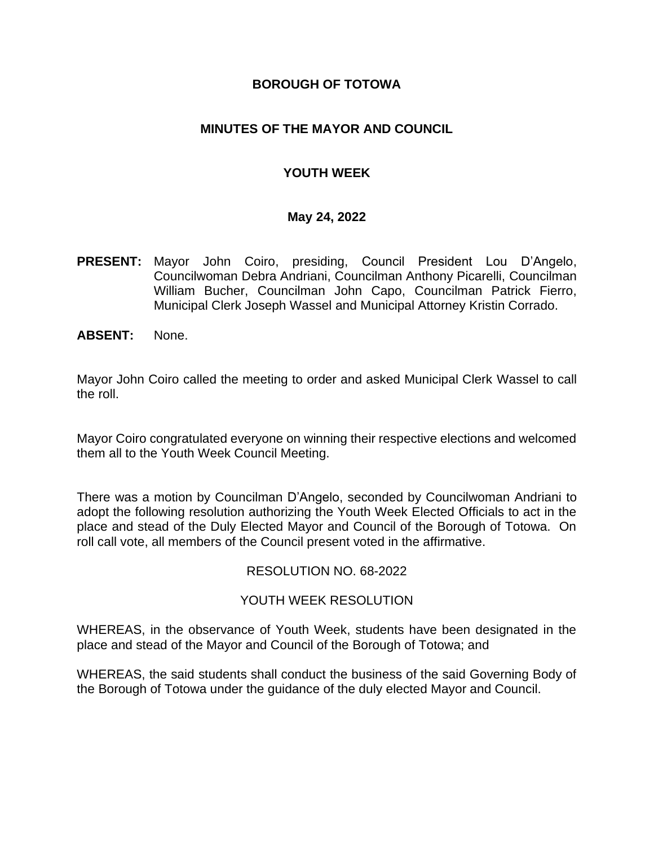#### **BOROUGH OF TOTOWA**

### **MINUTES OF THE MAYOR AND COUNCIL**

## **YOUTH WEEK**

#### **May 24, 2022**

- **PRESENT:** Mayor John Coiro, presiding, Council President Lou D'Angelo, Councilwoman Debra Andriani, Councilman Anthony Picarelli, Councilman William Bucher, Councilman John Capo, Councilman Patrick Fierro, Municipal Clerk Joseph Wassel and Municipal Attorney Kristin Corrado.
- **ABSENT:** None.

Mayor John Coiro called the meeting to order and asked Municipal Clerk Wassel to call the roll.

Mayor Coiro congratulated everyone on winning their respective elections and welcomed them all to the Youth Week Council Meeting.

There was a motion by Councilman D'Angelo, seconded by Councilwoman Andriani to adopt the following resolution authorizing the Youth Week Elected Officials to act in the place and stead of the Duly Elected Mayor and Council of the Borough of Totowa. On roll call vote, all members of the Council present voted in the affirmative.

#### RESOLUTION NO. 68-2022

#### YOUTH WEEK RESOLUTION

WHEREAS, in the observance of Youth Week, students have been designated in the place and stead of the Mayor and Council of the Borough of Totowa; and

WHEREAS, the said students shall conduct the business of the said Governing Body of the Borough of Totowa under the guidance of the duly elected Mayor and Council.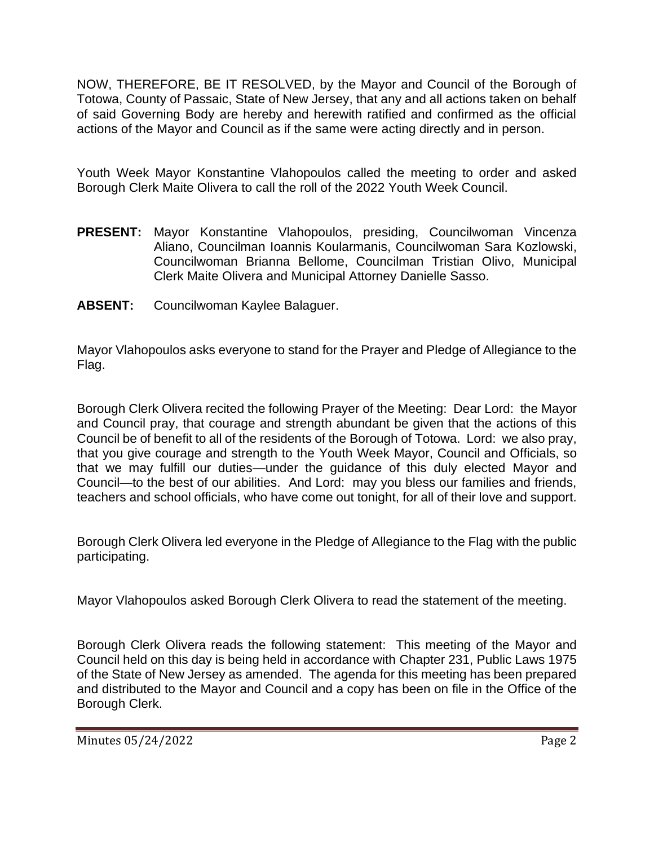NOW, THEREFORE, BE IT RESOLVED, by the Mayor and Council of the Borough of Totowa, County of Passaic, State of New Jersey, that any and all actions taken on behalf of said Governing Body are hereby and herewith ratified and confirmed as the official actions of the Mayor and Council as if the same were acting directly and in person.

Youth Week Mayor Konstantine Vlahopoulos called the meeting to order and asked Borough Clerk Maite Olivera to call the roll of the 2022 Youth Week Council.

- **PRESENT:** Mayor Konstantine Vlahopoulos, presiding, Councilwoman Vincenza Aliano, Councilman Ioannis Koularmanis, Councilwoman Sara Kozlowski, Councilwoman Brianna Bellome, Councilman Tristian Olivo, Municipal Clerk Maite Olivera and Municipal Attorney Danielle Sasso.
- **ABSENT:** Councilwoman Kaylee Balaguer.

Mayor Vlahopoulos asks everyone to stand for the Prayer and Pledge of Allegiance to the Flag.

Borough Clerk Olivera recited the following Prayer of the Meeting: Dear Lord: the Mayor and Council pray, that courage and strength abundant be given that the actions of this Council be of benefit to all of the residents of the Borough of Totowa. Lord: we also pray, that you give courage and strength to the Youth Week Mayor, Council and Officials, so that we may fulfill our duties—under the guidance of this duly elected Mayor and Council—to the best of our abilities. And Lord: may you bless our families and friends, teachers and school officials, who have come out tonight, for all of their love and support.

Borough Clerk Olivera led everyone in the Pledge of Allegiance to the Flag with the public participating.

Mayor Vlahopoulos asked Borough Clerk Olivera to read the statement of the meeting.

Borough Clerk Olivera reads the following statement: This meeting of the Mayor and Council held on this day is being held in accordance with Chapter 231, Public Laws 1975 of the State of New Jersey as amended. The agenda for this meeting has been prepared and distributed to the Mayor and Council and a copy has been on file in the Office of the Borough Clerk.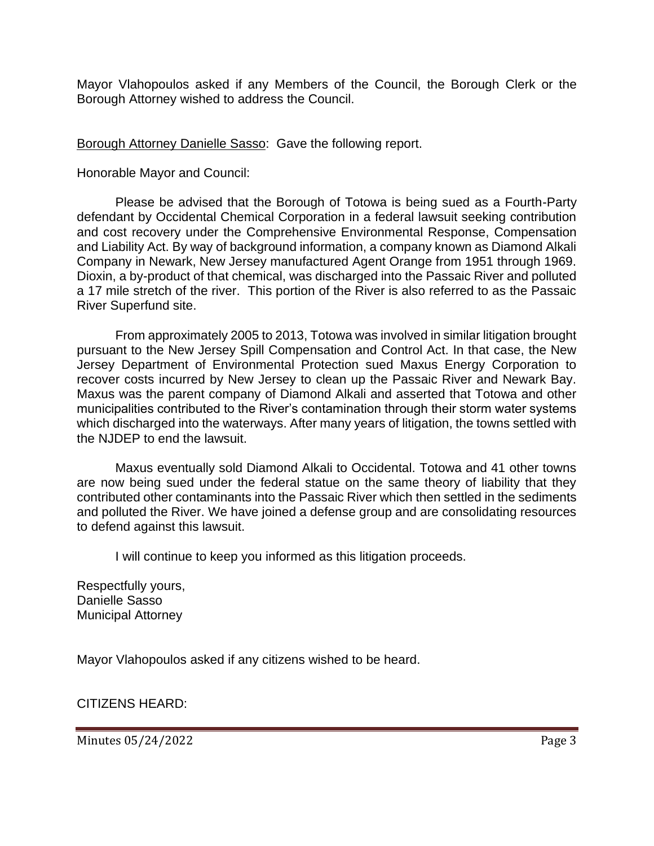Mayor Vlahopoulos asked if any Members of the Council, the Borough Clerk or the Borough Attorney wished to address the Council.

Borough Attorney Danielle Sasso: Gave the following report.

Honorable Mayor and Council:

Please be advised that the Borough of Totowa is being sued as a Fourth-Party defendant by Occidental Chemical Corporation in a federal lawsuit seeking contribution and cost recovery under the Comprehensive Environmental Response, Compensation and Liability Act. By way of background information, a company known as Diamond Alkali Company in Newark, New Jersey manufactured Agent Orange from 1951 through 1969. Dioxin, a by-product of that chemical, was discharged into the Passaic River and polluted a 17 mile stretch of the river. This portion of the River is also referred to as the Passaic River Superfund site.

From approximately 2005 to 2013, Totowa was involved in similar litigation brought pursuant to the New Jersey Spill Compensation and Control Act. In that case, the New Jersey Department of Environmental Protection sued Maxus Energy Corporation to recover costs incurred by New Jersey to clean up the Passaic River and Newark Bay. Maxus was the parent company of Diamond Alkali and asserted that Totowa and other municipalities contributed to the River's contamination through their storm water systems which discharged into the waterways. After many years of litigation, the towns settled with the NJDEP to end the lawsuit.

Maxus eventually sold Diamond Alkali to Occidental. Totowa and 41 other towns are now being sued under the federal statue on the same theory of liability that they contributed other contaminants into the Passaic River which then settled in the sediments and polluted the River. We have joined a defense group and are consolidating resources to defend against this lawsuit.

I will continue to keep you informed as this litigation proceeds.

Respectfully yours, Danielle Sasso Municipal Attorney

Mayor Vlahopoulos asked if any citizens wished to be heard.

CITIZENS HEARD: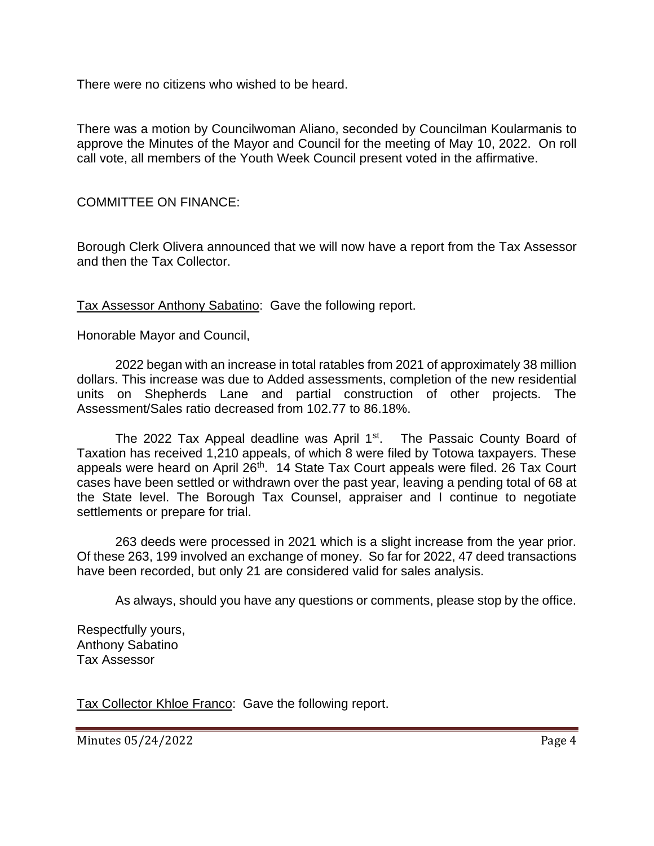There were no citizens who wished to be heard.

There was a motion by Councilwoman Aliano, seconded by Councilman Koularmanis to approve the Minutes of the Mayor and Council for the meeting of May 10, 2022. On roll call vote, all members of the Youth Week Council present voted in the affirmative.

COMMITTEE ON FINANCE:

Borough Clerk Olivera announced that we will now have a report from the Tax Assessor and then the Tax Collector.

Tax Assessor Anthony Sabatino: Gave the following report.

Honorable Mayor and Council,

2022 began with an increase in total ratables from 2021 of approximately 38 million dollars. This increase was due to Added assessments, completion of the new residential units on Shepherds Lane and partial construction of other projects. The Assessment/Sales ratio decreased from 102.77 to 86.18%.

The 2022 Tax Appeal deadline was April  $1<sup>st</sup>$ . The Passaic County Board of Taxation has received 1,210 appeals, of which 8 were filed by Totowa taxpayers. These appeals were heard on April 26<sup>th</sup>. 14 State Tax Court appeals were filed. 26 Tax Court cases have been settled or withdrawn over the past year, leaving a pending total of 68 at the State level. The Borough Tax Counsel, appraiser and I continue to negotiate settlements or prepare for trial.

263 deeds were processed in 2021 which is a slight increase from the year prior. Of these 263, 199 involved an exchange of money. So far for 2022, 47 deed transactions have been recorded, but only 21 are considered valid for sales analysis.

As always, should you have any questions or comments, please stop by the office.

Respectfully yours, Anthony Sabatino Tax Assessor

Tax Collector Khloe Franco: Gave the following report.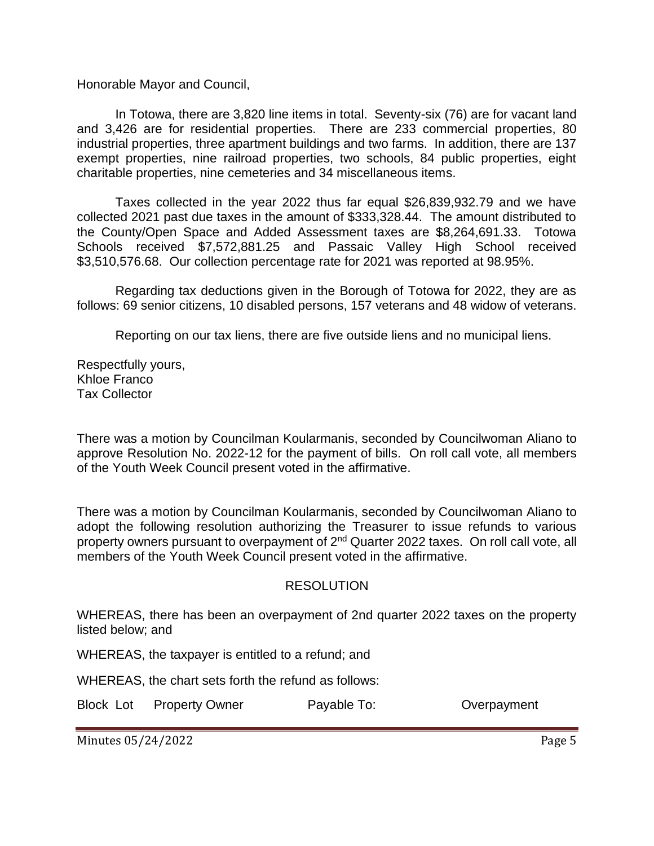Honorable Mayor and Council,

In Totowa, there are 3,820 line items in total. Seventy-six (76) are for vacant land and 3,426 are for residential properties. There are 233 commercial properties, 80 industrial properties, three apartment buildings and two farms. In addition, there are 137 exempt properties, nine railroad properties, two schools, 84 public properties, eight charitable properties, nine cemeteries and 34 miscellaneous items.

Taxes collected in the year 2022 thus far equal \$26,839,932.79 and we have collected 2021 past due taxes in the amount of \$333,328.44. The amount distributed to the County/Open Space and Added Assessment taxes are \$8,264,691.33. Totowa Schools received \$7,572,881.25 and Passaic Valley High School received \$3,510,576.68. Our collection percentage rate for 2021 was reported at 98.95%.

Regarding tax deductions given in the Borough of Totowa for 2022, they are as follows: 69 senior citizens, 10 disabled persons, 157 veterans and 48 widow of veterans.

Reporting on our tax liens, there are five outside liens and no municipal liens.

Respectfully yours, Khloe Franco Tax Collector

There was a motion by Councilman Koularmanis, seconded by Councilwoman Aliano to approve Resolution No. 2022-12 for the payment of bills. On roll call vote, all members of the Youth Week Council present voted in the affirmative.

There was a motion by Councilman Koularmanis, seconded by Councilwoman Aliano to adopt the following resolution authorizing the Treasurer to issue refunds to various property owners pursuant to overpayment of 2nd Quarter 2022 taxes. On roll call vote, all members of the Youth Week Council present voted in the affirmative.

#### RESOLUTION

WHEREAS, there has been an overpayment of 2nd quarter 2022 taxes on the property listed below; and

WHEREAS, the taxpayer is entitled to a refund; and

WHEREAS, the chart sets forth the refund as follows:

Block Lot Property Owner Payable To: Coverpayment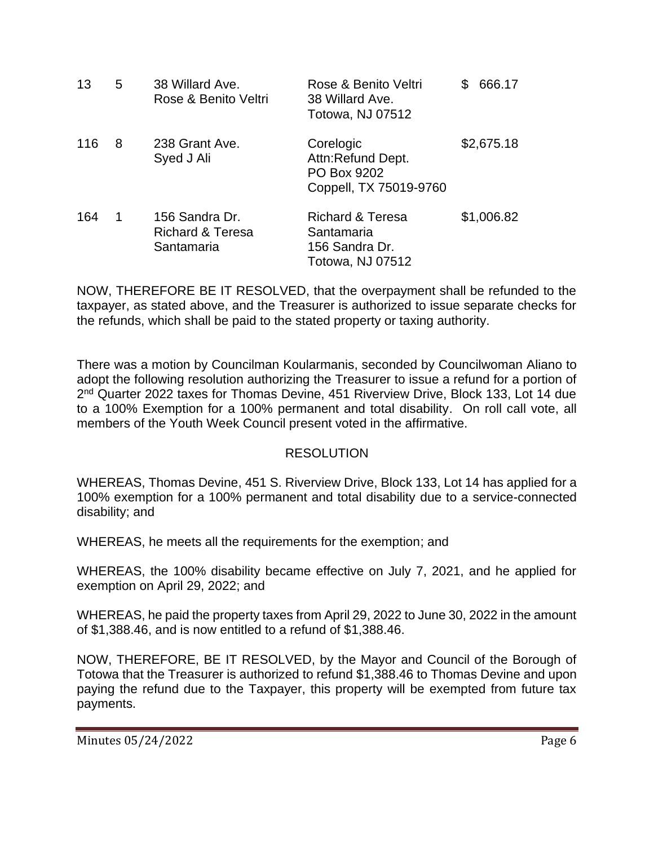| 13  | 5 | 38 Willard Ave.<br>Rose & Benito Veltri                     | Rose & Benito Veltri<br>38 Willard Ave.<br>Totowa, NJ 07512                            | 666.17<br>\$ |
|-----|---|-------------------------------------------------------------|----------------------------------------------------------------------------------------|--------------|
| 116 | 8 | 238 Grant Ave.<br>Syed J Ali                                | Corelogic<br>Attn:Refund Dept.<br>PO Box 9202<br>Coppell, TX 75019-9760                | \$2,675.18   |
| 164 | 1 | 156 Sandra Dr.<br><b>Richard &amp; Teresa</b><br>Santamaria | <b>Richard &amp; Teresa</b><br>Santamaria<br>156 Sandra Dr.<br><b>Totowa, NJ 07512</b> | \$1,006.82   |

NOW, THEREFORE BE IT RESOLVED, that the overpayment shall be refunded to the taxpayer, as stated above, and the Treasurer is authorized to issue separate checks for the refunds, which shall be paid to the stated property or taxing authority.

There was a motion by Councilman Koularmanis, seconded by Councilwoman Aliano to adopt the following resolution authorizing the Treasurer to issue a refund for a portion of 2<sup>nd</sup> Quarter 2022 taxes for Thomas Devine, 451 Riverview Drive, Block 133, Lot 14 due to a 100% Exemption for a 100% permanent and total disability. On roll call vote, all members of the Youth Week Council present voted in the affirmative.

## RESOLUTION

WHEREAS, Thomas Devine, 451 S. Riverview Drive, Block 133, Lot 14 has applied for a 100% exemption for a 100% permanent and total disability due to a service-connected disability; and

WHEREAS, he meets all the requirements for the exemption; and

WHEREAS, the 100% disability became effective on July 7, 2021, and he applied for exemption on April 29, 2022; and

WHEREAS, he paid the property taxes from April 29, 2022 to June 30, 2022 in the amount of \$1,388.46, and is now entitled to a refund of \$1,388.46.

NOW, THEREFORE, BE IT RESOLVED, by the Mayor and Council of the Borough of Totowa that the Treasurer is authorized to refund \$1,388.46 to Thomas Devine and upon paying the refund due to the Taxpayer, this property will be exempted from future tax payments.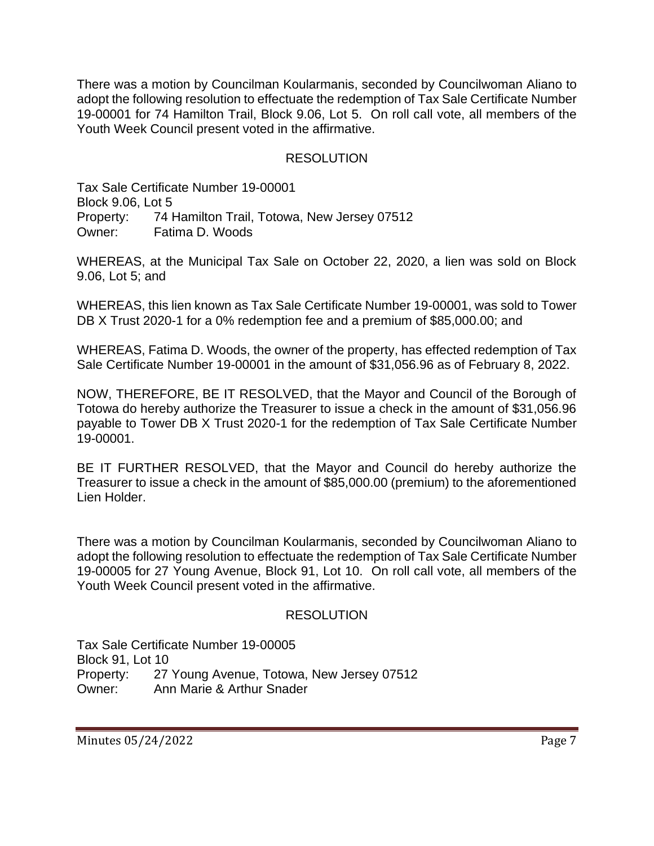There was a motion by Councilman Koularmanis, seconded by Councilwoman Aliano to adopt the following resolution to effectuate the redemption of Tax Sale Certificate Number 19-00001 for 74 Hamilton Trail, Block 9.06, Lot 5. On roll call vote, all members of the Youth Week Council present voted in the affirmative.

## RESOLUTION

Tax Sale Certificate Number 19-00001 Block 9.06, Lot 5 Property: 74 Hamilton Trail, Totowa, New Jersey 07512 Owner: Fatima D. Woods

WHEREAS, at the Municipal Tax Sale on October 22, 2020, a lien was sold on Block 9.06, Lot 5; and

WHEREAS, this lien known as Tax Sale Certificate Number 19-00001, was sold to Tower DB X Trust 2020-1 for a 0% redemption fee and a premium of \$85,000.00; and

WHEREAS, Fatima D. Woods, the owner of the property, has effected redemption of Tax Sale Certificate Number 19-00001 in the amount of \$31,056.96 as of February 8, 2022.

NOW, THEREFORE, BE IT RESOLVED, that the Mayor and Council of the Borough of Totowa do hereby authorize the Treasurer to issue a check in the amount of \$31,056.96 payable to Tower DB X Trust 2020-1 for the redemption of Tax Sale Certificate Number 19-00001.

BE IT FURTHER RESOLVED, that the Mayor and Council do hereby authorize the Treasurer to issue a check in the amount of \$85,000.00 (premium) to the aforementioned Lien Holder.

There was a motion by Councilman Koularmanis, seconded by Councilwoman Aliano to adopt the following resolution to effectuate the redemption of Tax Sale Certificate Number 19-00005 for 27 Young Avenue, Block 91, Lot 10. On roll call vote, all members of the Youth Week Council present voted in the affirmative.

#### RESOLUTION

Tax Sale Certificate Number 19-00005 Block 91, Lot 10 Property: 27 Young Avenue, Totowa, New Jersey 07512 Owner: Ann Marie & Arthur Snader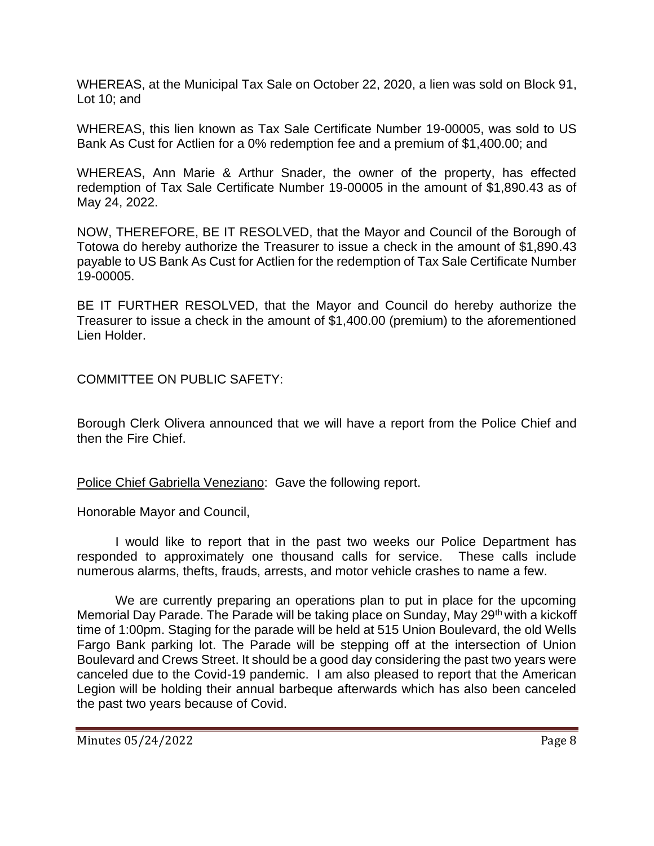WHEREAS, at the Municipal Tax Sale on October 22, 2020, a lien was sold on Block 91, Lot 10; and

WHEREAS, this lien known as Tax Sale Certificate Number 19-00005, was sold to US Bank As Cust for Actlien for a 0% redemption fee and a premium of \$1,400.00; and

WHEREAS, Ann Marie & Arthur Snader, the owner of the property, has effected redemption of Tax Sale Certificate Number 19-00005 in the amount of \$1,890.43 as of May 24, 2022.

NOW, THEREFORE, BE IT RESOLVED, that the Mayor and Council of the Borough of Totowa do hereby authorize the Treasurer to issue a check in the amount of \$1,890.43 payable to US Bank As Cust for Actlien for the redemption of Tax Sale Certificate Number 19-00005.

BE IT FURTHER RESOLVED, that the Mayor and Council do hereby authorize the Treasurer to issue a check in the amount of \$1,400.00 (premium) to the aforementioned Lien Holder.

COMMITTEE ON PUBLIC SAFETY:

Borough Clerk Olivera announced that we will have a report from the Police Chief and then the Fire Chief.

Police Chief Gabriella Veneziano: Gave the following report.

Honorable Mayor and Council,

I would like to report that in the past two weeks our Police Department has responded to approximately one thousand calls for service. These calls include numerous alarms, thefts, frauds, arrests, and motor vehicle crashes to name a few.

We are currently preparing an operations plan to put in place for the upcoming Memorial Day Parade. The Parade will be taking place on Sunday, May 29<sup>th</sup> with a kickoff time of 1:00pm. Staging for the parade will be held at 515 Union Boulevard, the old Wells Fargo Bank parking lot. The Parade will be stepping off at the intersection of Union Boulevard and Crews Street. It should be a good day considering the past two years were canceled due to the Covid-19 pandemic. I am also pleased to report that the American Legion will be holding their annual barbeque afterwards which has also been canceled the past two years because of Covid.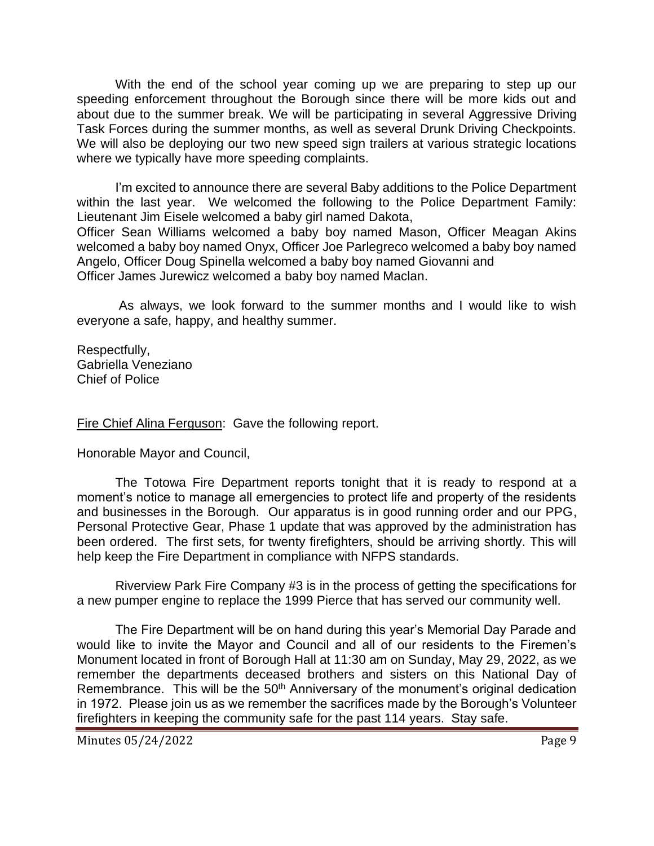With the end of the school year coming up we are preparing to step up our speeding enforcement throughout the Borough since there will be more kids out and about due to the summer break. We will be participating in several Aggressive Driving Task Forces during the summer months, as well as several Drunk Driving Checkpoints. We will also be deploying our two new speed sign trailers at various strategic locations where we typically have more speeding complaints.

I'm excited to announce there are several Baby additions to the Police Department within the last year. We welcomed the following to the Police Department Family: Lieutenant Jim Eisele welcomed a baby girl named Dakota, Officer Sean Williams welcomed a baby boy named Mason, Officer Meagan Akins welcomed a baby boy named Onyx, Officer Joe Parlegreco welcomed a baby boy named Angelo, Officer Doug Spinella welcomed a baby boy named Giovanni and Officer James Jurewicz welcomed a baby boy named Maclan.

As always, we look forward to the summer months and I would like to wish everyone a safe, happy, and healthy summer.

Respectfully, Gabriella Veneziano Chief of Police

Fire Chief Alina Ferguson: Gave the following report.

Honorable Mayor and Council,

The Totowa Fire Department reports tonight that it is ready to respond at a moment's notice to manage all emergencies to protect life and property of the residents and businesses in the Borough. Our apparatus is in good running order and our PPG, Personal Protective Gear, Phase 1 update that was approved by the administration has been ordered. The first sets, for twenty firefighters, should be arriving shortly. This will help keep the Fire Department in compliance with NFPS standards.

Riverview Park Fire Company #3 is in the process of getting the specifications for a new pumper engine to replace the 1999 Pierce that has served our community well.

The Fire Department will be on hand during this year's Memorial Day Parade and would like to invite the Mayor and Council and all of our residents to the Firemen's Monument located in front of Borough Hall at 11:30 am on Sunday, May 29, 2022, as we remember the departments deceased brothers and sisters on this National Day of Remembrance. This will be the 50<sup>th</sup> Anniversary of the monument's original dedication in 1972. Please join us as we remember the sacrifices made by the Borough's Volunteer firefighters in keeping the community safe for the past 114 years. Stay safe.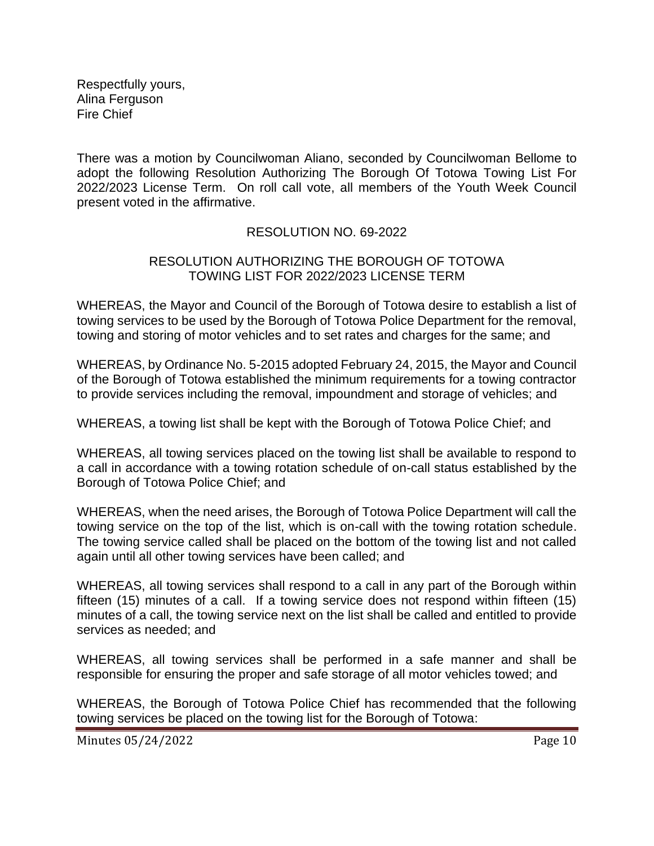Respectfully yours, Alina Ferguson Fire Chief

There was a motion by Councilwoman Aliano, seconded by Councilwoman Bellome to adopt the following Resolution Authorizing The Borough Of Totowa Towing List For 2022/2023 License Term. On roll call vote, all members of the Youth Week Council present voted in the affirmative.

### RESOLUTION NO. 69-2022

#### RESOLUTION AUTHORIZING THE BOROUGH OF TOTOWA TOWING LIST FOR 2022/2023 LICENSE TERM

WHEREAS, the Mayor and Council of the Borough of Totowa desire to establish a list of towing services to be used by the Borough of Totowa Police Department for the removal, towing and storing of motor vehicles and to set rates and charges for the same; and

WHEREAS, by Ordinance No. 5-2015 adopted February 24, 2015, the Mayor and Council of the Borough of Totowa established the minimum requirements for a towing contractor to provide services including the removal, impoundment and storage of vehicles; and

WHEREAS, a towing list shall be kept with the Borough of Totowa Police Chief; and

WHEREAS, all towing services placed on the towing list shall be available to respond to a call in accordance with a towing rotation schedule of on-call status established by the Borough of Totowa Police Chief; and

WHEREAS, when the need arises, the Borough of Totowa Police Department will call the towing service on the top of the list, which is on-call with the towing rotation schedule. The towing service called shall be placed on the bottom of the towing list and not called again until all other towing services have been called; and

WHEREAS, all towing services shall respond to a call in any part of the Borough within fifteen (15) minutes of a call. If a towing service does not respond within fifteen (15) minutes of a call, the towing service next on the list shall be called and entitled to provide services as needed; and

WHEREAS, all towing services shall be performed in a safe manner and shall be responsible for ensuring the proper and safe storage of all motor vehicles towed; and

WHEREAS, the Borough of Totowa Police Chief has recommended that the following towing services be placed on the towing list for the Borough of Totowa: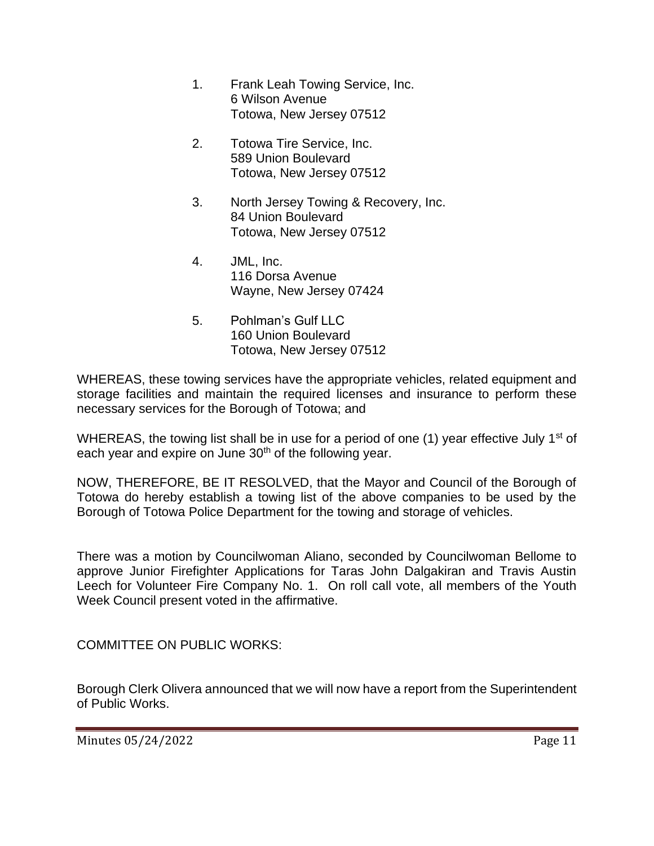- 1. Frank Leah Towing Service, Inc. 6 Wilson Avenue Totowa, New Jersey 07512
- 2. Totowa Tire Service, Inc. 589 Union Boulevard Totowa, New Jersey 07512
- 3. North Jersey Towing & Recovery, Inc. 84 Union Boulevard Totowa, New Jersey 07512
- 4. JML, Inc. 116 Dorsa Avenue Wayne, New Jersey 07424
- 5. Pohlman's Gulf LLC 160 Union Boulevard Totowa, New Jersey 07512

WHEREAS, these towing services have the appropriate vehicles, related equipment and storage facilities and maintain the required licenses and insurance to perform these necessary services for the Borough of Totowa; and

WHEREAS, the towing list shall be in use for a period of one (1) year effective July 1<sup>st</sup> of each year and expire on June 30<sup>th</sup> of the following year.

NOW, THEREFORE, BE IT RESOLVED, that the Mayor and Council of the Borough of Totowa do hereby establish a towing list of the above companies to be used by the Borough of Totowa Police Department for the towing and storage of vehicles.

There was a motion by Councilwoman Aliano, seconded by Councilwoman Bellome to approve Junior Firefighter Applications for Taras John Dalgakiran and Travis Austin Leech for Volunteer Fire Company No. 1. On roll call vote, all members of the Youth Week Council present voted in the affirmative.

COMMITTEE ON PUBLIC WORKS:

Borough Clerk Olivera announced that we will now have a report from the Superintendent of Public Works.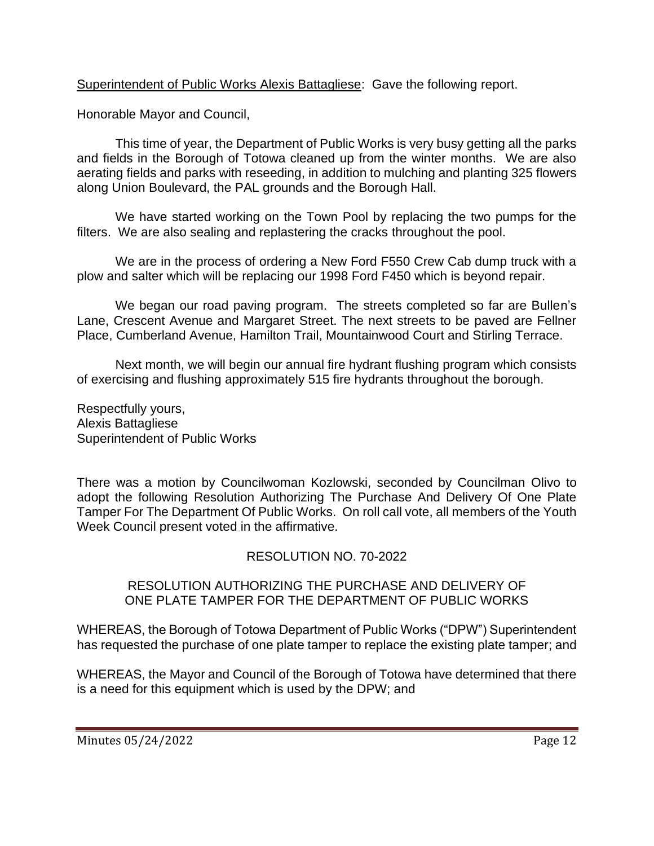Superintendent of Public Works Alexis Battagliese: Gave the following report.

Honorable Mayor and Council,

This time of year, the Department of Public Works is very busy getting all the parks and fields in the Borough of Totowa cleaned up from the winter months. We are also aerating fields and parks with reseeding, in addition to mulching and planting 325 flowers along Union Boulevard, the PAL grounds and the Borough Hall.

We have started working on the Town Pool by replacing the two pumps for the filters. We are also sealing and replastering the cracks throughout the pool.

We are in the process of ordering a New Ford F550 Crew Cab dump truck with a plow and salter which will be replacing our 1998 Ford F450 which is beyond repair.

We began our road paving program. The streets completed so far are Bullen's Lane, Crescent Avenue and Margaret Street. The next streets to be paved are Fellner Place, Cumberland Avenue, Hamilton Trail, Mountainwood Court and Stirling Terrace.

Next month, we will begin our annual fire hydrant flushing program which consists of exercising and flushing approximately 515 fire hydrants throughout the borough.

Respectfully yours, Alexis Battagliese Superintendent of Public Works

There was a motion by Councilwoman Kozlowski, seconded by Councilman Olivo to adopt the following Resolution Authorizing The Purchase And Delivery Of One Plate Tamper For The Department Of Public Works. On roll call vote, all members of the Youth Week Council present voted in the affirmative.

## RESOLUTION NO. 70-2022

### RESOLUTION AUTHORIZING THE PURCHASE AND DELIVERY OF ONE PLATE TAMPER FOR THE DEPARTMENT OF PUBLIC WORKS

WHEREAS, the Borough of Totowa Department of Public Works ("DPW") Superintendent has requested the purchase of one plate tamper to replace the existing plate tamper; and

WHEREAS, the Mayor and Council of the Borough of Totowa have determined that there is a need for this equipment which is used by the DPW; and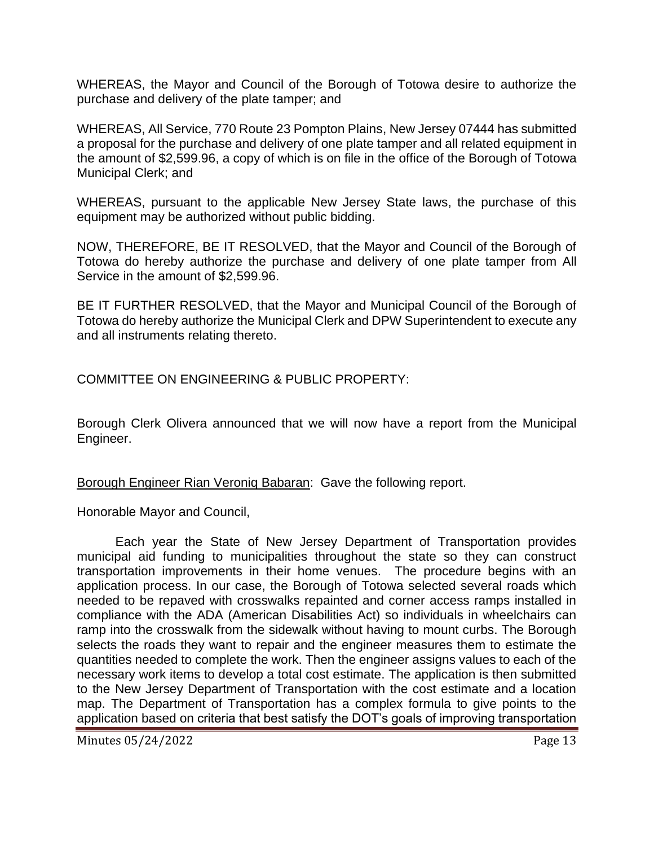WHEREAS, the Mayor and Council of the Borough of Totowa desire to authorize the purchase and delivery of the plate tamper; and

WHEREAS, All Service, 770 Route 23 Pompton Plains, New Jersey 07444 has submitted a proposal for the purchase and delivery of one plate tamper and all related equipment in the amount of \$2,599.96, a copy of which is on file in the office of the Borough of Totowa Municipal Clerk; and

WHEREAS, pursuant to the applicable New Jersey State laws, the purchase of this equipment may be authorized without public bidding.

NOW, THEREFORE, BE IT RESOLVED, that the Mayor and Council of the Borough of Totowa do hereby authorize the purchase and delivery of one plate tamper from All Service in the amount of \$2,599.96.

BE IT FURTHER RESOLVED, that the Mayor and Municipal Council of the Borough of Totowa do hereby authorize the Municipal Clerk and DPW Superintendent to execute any and all instruments relating thereto.

COMMITTEE ON ENGINEERING & PUBLIC PROPERTY:

Borough Clerk Olivera announced that we will now have a report from the Municipal Engineer.

Borough Engineer Rian Veroniq Babaran: Gave the following report.

Honorable Mayor and Council,

Each year the State of New Jersey Department of Transportation provides municipal aid funding to municipalities throughout the state so they can construct transportation improvements in their home venues. The procedure begins with an application process. In our case, the Borough of Totowa selected several roads which needed to be repaved with crosswalks repainted and corner access ramps installed in compliance with the ADA (American Disabilities Act) so individuals in wheelchairs can ramp into the crosswalk from the sidewalk without having to mount curbs. The Borough selects the roads they want to repair and the engineer measures them to estimate the quantities needed to complete the work. Then the engineer assigns values to each of the necessary work items to develop a total cost estimate. The application is then submitted to the New Jersey Department of Transportation with the cost estimate and a location map. The Department of Transportation has a complex formula to give points to the application based on criteria that best satisfy the DOT's goals of improving transportation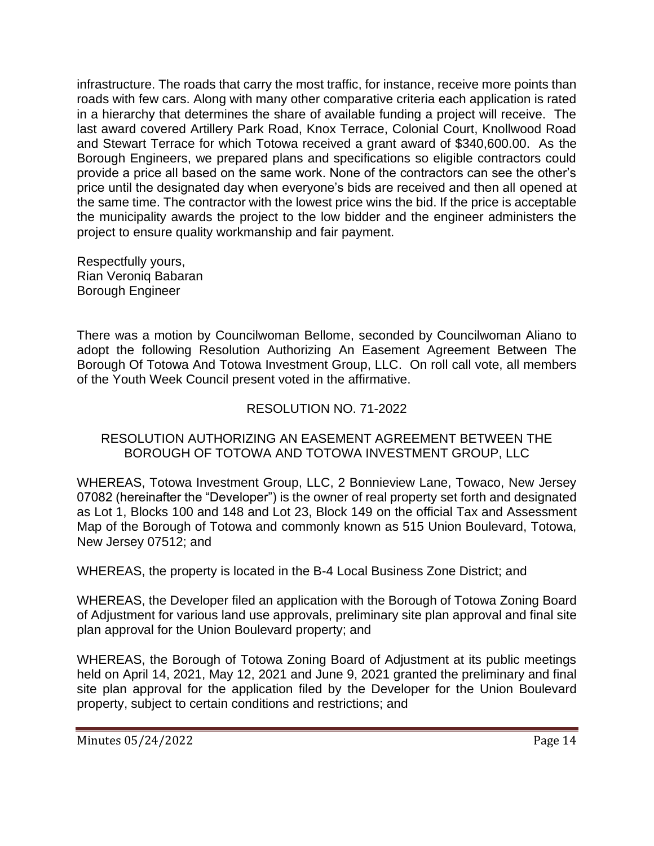infrastructure. The roads that carry the most traffic, for instance, receive more points than roads with few cars. Along with many other comparative criteria each application is rated in a hierarchy that determines the share of available funding a project will receive. The last award covered Artillery Park Road, Knox Terrace, Colonial Court, Knollwood Road and Stewart Terrace for which Totowa received a grant award of \$340,600.00. As the Borough Engineers, we prepared plans and specifications so eligible contractors could provide a price all based on the same work. None of the contractors can see the other's price until the designated day when everyone's bids are received and then all opened at the same time. The contractor with the lowest price wins the bid. If the price is acceptable the municipality awards the project to the low bidder and the engineer administers the project to ensure quality workmanship and fair payment.

Respectfully yours, Rian Veroniq Babaran Borough Engineer

There was a motion by Councilwoman Bellome, seconded by Councilwoman Aliano to adopt the following Resolution Authorizing An Easement Agreement Between The Borough Of Totowa And Totowa Investment Group, LLC. On roll call vote, all members of the Youth Week Council present voted in the affirmative.

## RESOLUTION NO. 71-2022

### RESOLUTION AUTHORIZING AN EASEMENT AGREEMENT BETWEEN THE BOROUGH OF TOTOWA AND TOTOWA INVESTMENT GROUP, LLC

WHEREAS, Totowa Investment Group, LLC, 2 Bonnieview Lane, Towaco, New Jersey 07082 (hereinafter the "Developer") is the owner of real property set forth and designated as Lot 1, Blocks 100 and 148 and Lot 23, Block 149 on the official Tax and Assessment Map of the Borough of Totowa and commonly known as 515 Union Boulevard, Totowa, New Jersey 07512; and

WHEREAS, the property is located in the B-4 Local Business Zone District; and

WHEREAS, the Developer filed an application with the Borough of Totowa Zoning Board of Adjustment for various land use approvals, preliminary site plan approval and final site plan approval for the Union Boulevard property; and

WHEREAS, the Borough of Totowa Zoning Board of Adjustment at its public meetings held on April 14, 2021, May 12, 2021 and June 9, 2021 granted the preliminary and final site plan approval for the application filed by the Developer for the Union Boulevard property, subject to certain conditions and restrictions; and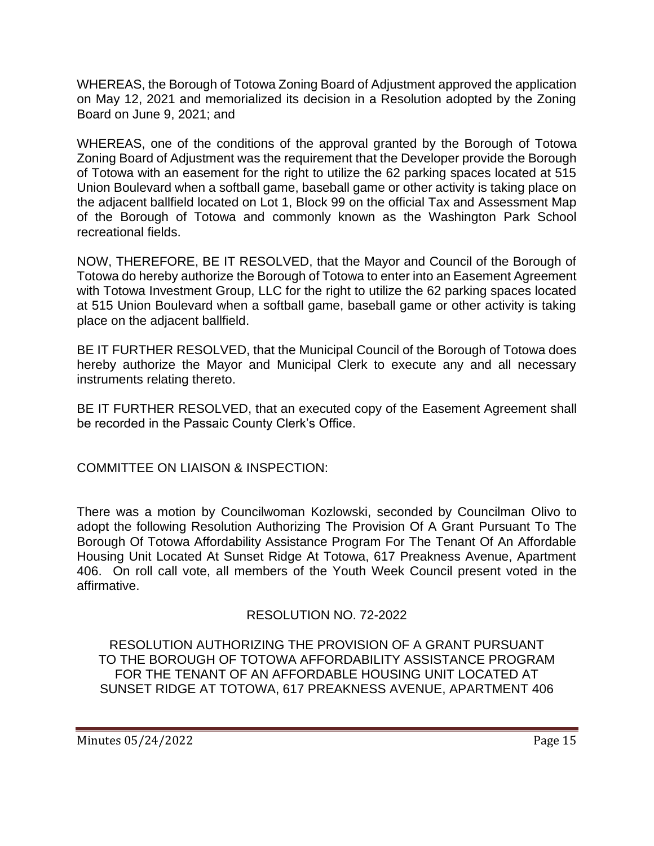WHEREAS, the Borough of Totowa Zoning Board of Adjustment approved the application on May 12, 2021 and memorialized its decision in a Resolution adopted by the Zoning Board on June 9, 2021; and

WHEREAS, one of the conditions of the approval granted by the Borough of Totowa Zoning Board of Adjustment was the requirement that the Developer provide the Borough of Totowa with an easement for the right to utilize the 62 parking spaces located at 515 Union Boulevard when a softball game, baseball game or other activity is taking place on the adjacent ballfield located on Lot 1, Block 99 on the official Tax and Assessment Map of the Borough of Totowa and commonly known as the Washington Park School recreational fields.

NOW, THEREFORE, BE IT RESOLVED, that the Mayor and Council of the Borough of Totowa do hereby authorize the Borough of Totowa to enter into an Easement Agreement with Totowa Investment Group, LLC for the right to utilize the 62 parking spaces located at 515 Union Boulevard when a softball game, baseball game or other activity is taking place on the adjacent ballfield.

BE IT FURTHER RESOLVED, that the Municipal Council of the Borough of Totowa does hereby authorize the Mayor and Municipal Clerk to execute any and all necessary instruments relating thereto.

BE IT FURTHER RESOLVED, that an executed copy of the Easement Agreement shall be recorded in the Passaic County Clerk's Office.

COMMITTEE ON LIAISON & INSPECTION:

There was a motion by Councilwoman Kozlowski, seconded by Councilman Olivo to adopt the following Resolution Authorizing The Provision Of A Grant Pursuant To The Borough Of Totowa Affordability Assistance Program For The Tenant Of An Affordable Housing Unit Located At Sunset Ridge At Totowa, 617 Preakness Avenue, Apartment 406. On roll call vote, all members of the Youth Week Council present voted in the affirmative.

# RESOLUTION NO. 72-2022

RESOLUTION AUTHORIZING THE PROVISION OF A GRANT PURSUANT TO THE BOROUGH OF TOTOWA AFFORDABILITY ASSISTANCE PROGRAM FOR THE TENANT OF AN AFFORDABLE HOUSING UNIT LOCATED AT SUNSET RIDGE AT TOTOWA, 617 PREAKNESS AVENUE, APARTMENT 406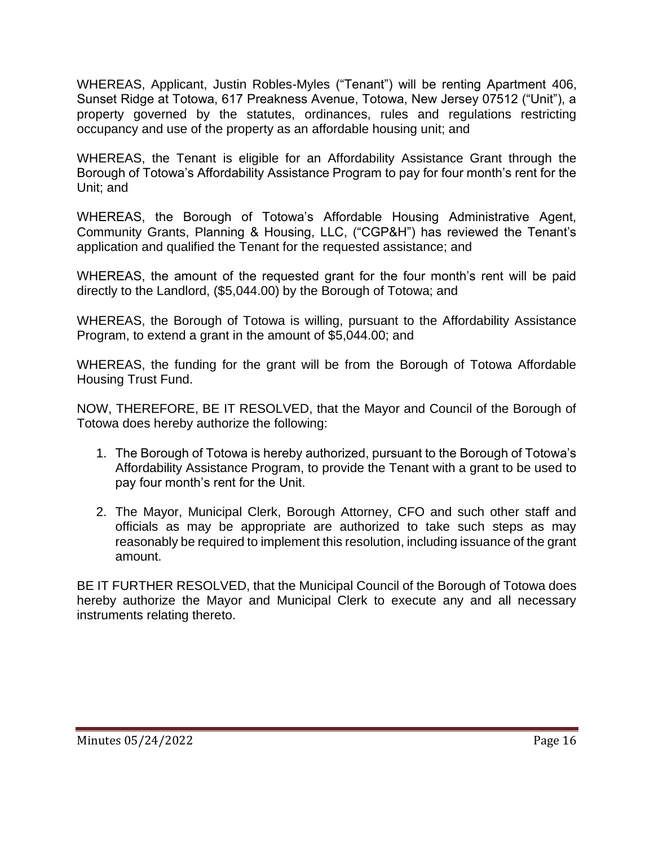WHEREAS, Applicant, Justin Robles-Myles ("Tenant") will be renting Apartment 406, Sunset Ridge at Totowa, 617 Preakness Avenue, Totowa, New Jersey 07512 ("Unit"), a property governed by the statutes, ordinances, rules and regulations restricting occupancy and use of the property as an affordable housing unit; and

WHEREAS, the Tenant is eligible for an Affordability Assistance Grant through the Borough of Totowa's Affordability Assistance Program to pay for four month's rent for the Unit; and

WHEREAS, the Borough of Totowa's Affordable Housing Administrative Agent, Community Grants, Planning & Housing, LLC, ("CGP&H") has reviewed the Tenant's application and qualified the Tenant for the requested assistance; and

WHEREAS, the amount of the requested grant for the four month's rent will be paid directly to the Landlord, (\$5,044.00) by the Borough of Totowa; and

WHEREAS, the Borough of Totowa is willing, pursuant to the Affordability Assistance Program, to extend a grant in the amount of \$5,044.00; and

WHEREAS, the funding for the grant will be from the Borough of Totowa Affordable Housing Trust Fund.

NOW, THEREFORE, BE IT RESOLVED, that the Mayor and Council of the Borough of Totowa does hereby authorize the following:

- 1. The Borough of Totowa is hereby authorized, pursuant to the Borough of Totowa's Affordability Assistance Program, to provide the Tenant with a grant to be used to pay four month's rent for the Unit.
- 2. The Mayor, Municipal Clerk, Borough Attorney, CFO and such other staff and officials as may be appropriate are authorized to take such steps as may reasonably be required to implement this resolution, including issuance of the grant amount.

BE IT FURTHER RESOLVED, that the Municipal Council of the Borough of Totowa does hereby authorize the Mayor and Municipal Clerk to execute any and all necessary instruments relating thereto.